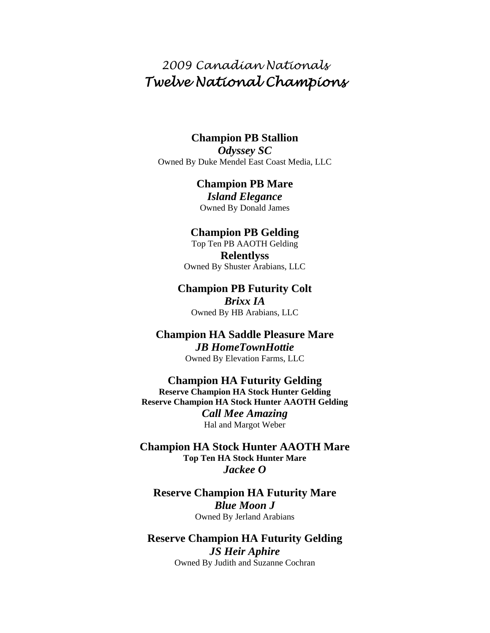# *2009 Canadian Nationals Twelve National Champions*

## **Champion PB Stallion**

*Odyssey SC*  Owned By Duke Mendel East Coast Media, LLC

## **Champion PB Mare**

*Island Elegance*  Owned By Donald James

### **Champion PB Gelding**

Top Ten PB AAOTH Gelding **Relentlyss**  Owned By Shuster Arabians, LLC

## **Champion PB Futurity Colt**  *Brixx IA*

Owned By HB Arabians, LLC

## **Champion HA Saddle Pleasure Mare**  *JB HomeTownHottie*  Owned By Elevation Farms, LLC

**Champion HA Futurity Gelding Reserve Champion HA Stock Hunter Gelding Reserve Champion HA Stock Hunter AAOTH Gelding**  *Call Mee Amazing*  Hal and Margot Weber

**Champion HA Stock Hunter AAOTH Mare Top Ten HA Stock Hunter Mare**  *Jackee O* 

## **Reserve Champion HA Futurity Mare**  *Blue Moon J*  Owned By Jerland Arabians

## **Reserve Champion HA Futurity Gelding**  *JS Heir Aphire*  Owned By Judith and Suzanne Cochran